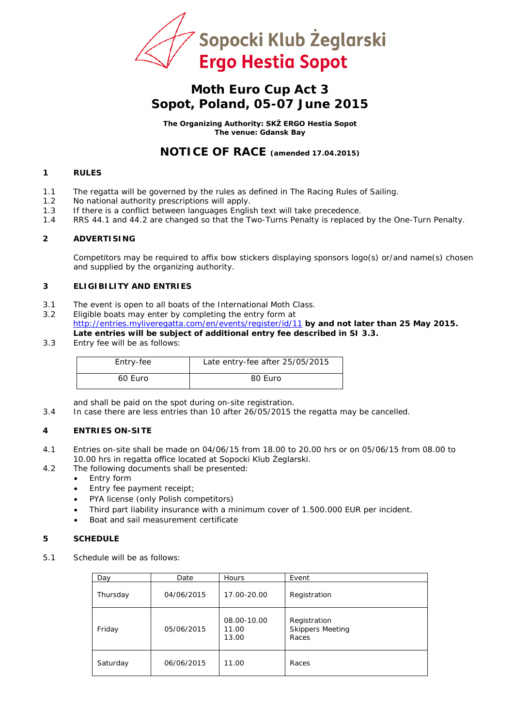

## **Moth Euro Cup Act 3 Sopot, Poland, 05-07 June 2015**

**The Organizing Authority: SKŻ ERGO Hestia Sopot The venue: Gdansk Bay**

### **NOTICE OF RACE (amended 17.04.2015)**

#### **1 RULES**

- 1.1 The regatta will be governed by the rules as defined in *The Racing Rules of Sailing*.
- 1.2 No national authority prescriptions will apply.
- 1.3 If there is a conflict between languages English text will take precedence.
- 1.4 RRS 44.1 and 44.2 are changed so that the Two-Turns Penalty is replaced by the One-Turn Penalty.

#### **2 ADVERTISING**

Competitors may be required to affix bow stickers displaying sponsors logo(s) or/and name(s) chosen and supplied by the organizing authority.

#### **3 ELIGIBILITY AND ENTRIES**

- 3.1 The event is open to all boats of the International Moth Class.
- 3.2 Eligible boats may enter by completing the entry form at <http://entries.myliveregatta.com/en/events/register/id/11> **by and not later than 25 May 2015.**

### **Late entries will be subject of additional entry fee described in SI 3.3.**

3.3 Entry fee will be as follows:

| Entry-fee | Late entry-fee after 25/05/2015 |
|-----------|---------------------------------|
| 60 Euro   | 80 Euro                         |

and shall be paid on the spot during on-site registration.

3.4 In case there are less entries than 10 after 26/05/2015 the regatta may be cancelled.

#### **4 ENTRIES ON-SITE**

- 4.1 Entries on-site shall be made on 04/06/15 from 18.00 to 20.00 hrs or on 05/06/15 from 08.00 to 10.00 hrs in regatta office located at Sopocki Klub Żeglarski.
- 4.2 The following documents shall be presented:
	- Entry form
		- Entry fee payment receipt;
		- PYA license (only Polish competitors)
		- Third part liability insurance with a minimum cover of 1.500.000 EUR per incident.
		- Boat and sail measurement certificate

#### **5 SCHEDULE**

5.1 Schedule will be as follows:

| Day      | Date       | <b>Hours</b>                  | Event                                            |
|----------|------------|-------------------------------|--------------------------------------------------|
| Thursday | 04/06/2015 | 17.00-20.00                   | Registration                                     |
| Friday   | 05/06/2015 | 08.00-10.00<br>11.00<br>13.00 | Registration<br><b>Skippers Meeting</b><br>Races |
| Saturday | 06/06/2015 | 11.00                         | Races                                            |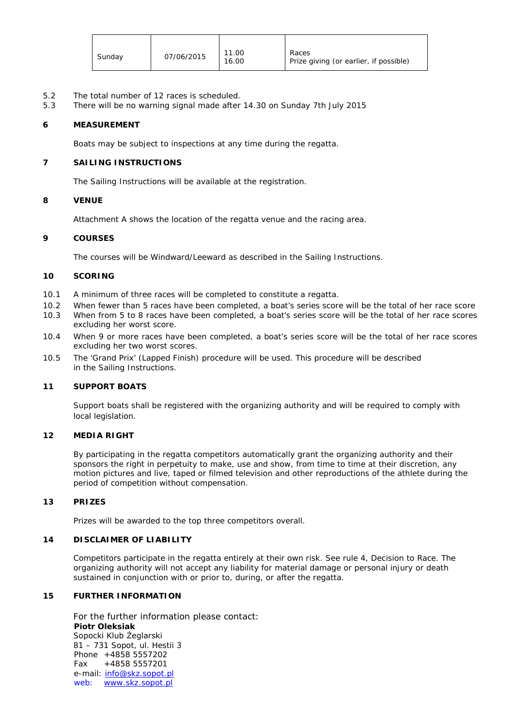| 11.00<br>Races<br>07/06/2015<br>Sunday<br>Prize giving (or earlier, if possible)<br>16.00 |
|-------------------------------------------------------------------------------------------|
|-------------------------------------------------------------------------------------------|

- 5.2 The total number of 12 races is scheduled.<br>5.3 There will be no warning signal made after
- 5.3 There will be no warning signal made after 14.30 on Sunday 7th July 2015

#### **6 MEASUREMENT**

Boats may be subject to inspections at any time during the regatta.

#### **7 SAILING INSTRUCTIONS**

The Sailing Instructions will be available at the registration.

#### **8 VENUE**

Attachment A shows the location of the regatta venue and the racing area.

#### **9 COURSES**

The courses will be Windward/Leeward as described in the Sailing Instructions.

#### **10 SCORING**

- 10.1 A minimum of three races will be completed to constitute a regatta.
- 10.2 When fewer than 5 races have been completed, a boat's series score will be the total of her race score
- 10.3 When from 5 to 8 races have been completed, a boat's series score will be the total of her race scores excluding her worst score.
- 10.4 When 9 or more races have been completed, a boat's series score will be the total of her race scores excluding her two worst scores.
- 10.5 The 'Grand Prix' (Lapped Finish) procedure will be used. This procedure will be described in the Sailing Instructions.

#### **11 SUPPORT BOATS**

Support boats shall be registered with the organizing authority and will be required to comply with local legislation.

#### **12 MEDIA RIGHT**

By participating in the regatta competitors automatically grant the organizing authority and their sponsors the right in perpetuity to make, use and show, from time to time at their discretion, any motion pictures and live, taped or filmed television and other reproductions of the athlete during the period of competition without compensation.

#### **13 PRIZES**

Prizes will be awarded to the top three competitors overall.

#### **14 DISCLAIMER OF LIABILITY**

Competitors participate in the regatta entirely at their own risk. See rule 4, Decision to Race. The organizing authority will not accept any liability for material damage or personal injury or death sustained in conjunction with or prior to, during, or after the regatta.

#### **15 FURTHER INFORMATION**

For the further information please contact: **Piotr Oleksiak** Sopocki Klub Żeglarski 81 – 731 Sopot, ul. Hestii 3 Phone +4858 5557202 Fax +4858 5557201 e-mail: [info@skz.sopot.pl](mailto:info@skz.sopot.pl) web: [www.skz.sopot.pl](http://www.skz.sopot.pl/)